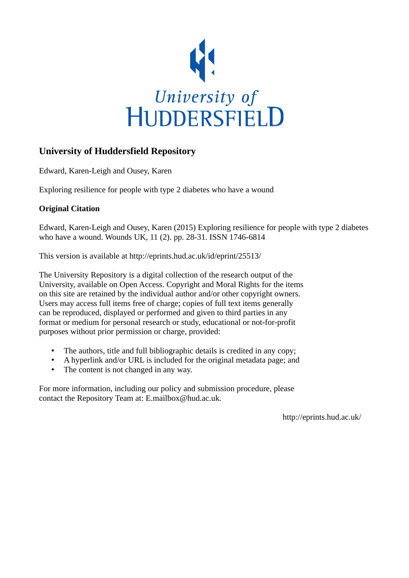

# **University of Huddersfield Repository**

Edward, Karen-Leigh and Ousey, Karen

Exploring resilience for people with type 2 diabetes who have a wound

# **Original Citation**

Edward, Karen-Leigh and Ousey, Karen (2015) Exploring resilience for people with type 2 diabetes who have a wound. Wounds UK, 11 (2). pp. 28-31. ISSN 1746-6814

This version is available at http://eprints.hud.ac.uk/id/eprint/25513/

The University Repository is a digital collection of the research output of the University, available on Open Access. Copyright and Moral Rights for the items on this site are retained by the individual author and/or other copyright owners. Users may access full items free of charge; copies of full text items generally can be reproduced, displayed or performed and given to third parties in any format or medium for personal research or study, educational or not-for-profit purposes without prior permission or charge, provided:

- The authors, title and full bibliographic details is credited in any copy;
- A hyperlink and/or URL is included for the original metadata page; and
- The content is not changed in any way.

For more information, including our policy and submission procedure, please contact the Repository Team at: E.mailbox@hud.ac.uk.

http://eprints.hud.ac.uk/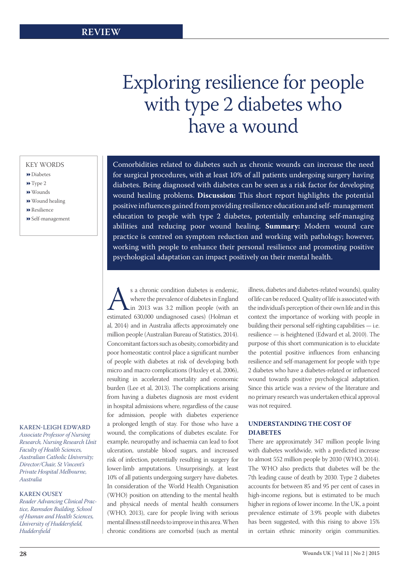# Exploring resilience for people with type 2 diabetes who have a wound

## KEY WORDS

- Diabetes
- **▶ Type 2**
- Wounds
- Wound healing
- **▶** Resilience
- Self-management

#### KAREN-LEIGH EDWARD

*Associate Professor of Nursing Research, Nursing Research Unit Faculty of Health Sciences, Australian Catholic University; Director/Chair, St Vincent's Private Hospital Melbourne, Australia*

### KAREN OUSEY

*Reader Advancing Clinical Practice, Ramsden Building, School of Human and Health Sciences, University of Huddersfield, Huddersfield*

Comorbidities related to diabetes such as chronic wounds can increase the need for surgical procedures, with at least 10% of all patients undergoing surgery having diabetes. Being diagnosed with diabetes can be seen as a risk factor for developing wound healing problems. **Discussion:** This short report highlights the potential positive influences gained from providing resilience education and self- management education to people with type 2 diabetes, potentially enhancing self-managing abilities and reducing poor wound healing. **Summary:** Modern wound care practice is centred on symptom reduction and working with pathology; however, working with people to enhance their personal resilience and promoting positive psychological adaptation can impact positively on their mental health.

s a chronic condition diabetes is endemic,<br>where the prevalence of diabetes in England<br>in 2013 was 3.2 million people (with an<br>estimated 630,000 undiagnosed cases) (Holman et where the prevalence of diabetes in England in 2013 was 3.2 million people (with an al, 2014) and in Australia affects approximately one million people (Australian Bureau of Statistics, 2014). Concomitant factors such as obesity, comorbidity and poor homeostatic control place a significant number of people with diabetes at risk of developing both micro and macro complications (Huxley et al, 2006), resulting in accelerated mortality and economic burden (Lee et al, 2013). The complications arising from having a diabetes diagnosis are most evident in hospital admissions where, regardless of the cause for admission, people with diabetes experience a prolonged length of stay. For those who have a wound, the complications of diabetes escalate. For example, neuropathy and ischaemia can lead to foot ulceration, unstable blood sugars, and increased risk of infection, potentially resulting in surgery for lower-limb amputations. Unsurprisingly, at least 10% of all patients undergoing surgery have diabetes. In consideration of the World Health Organisation (WHO) position on attending to the mental health and physical needs of mental health consumers (WHO, 2013), care for people living with serious mental illness still needs to improve in this area. When chronic conditions are comorbid (such as mental

illness, diabetes and diabetes-related wounds), quality of life can be reduced. Quality of life is associated with the individual's perception of their own life and in this context the importance of working with people in building their personal self-righting capabilities — i.e. resilience — is heightened (Edward et al, 2010). The purpose of this short communication is to elucidate the potential positive influences from enhancing resilience and self-management for people with type 2 diabetes who have a diabetes-related or influenced wound towards positive psychological adaptation. Since this article was a review of the literature and no primary research was undertaken ethical approval was not required.

# **UNDERSTANDING THE COST OF DIABETES**

There are approximately 347 million people living with diabetes worldwide, with a predicted increase to almost 552 million people by 2030 (WHO, 2014). The WHO also predicts that diabetes will be the 7th leading cause of death by 2030. Type 2 diabetes accounts for between 85 and 95 per cent of cases in high-income regions, but is estimated to be much higher in regions of lower income. In the UK, a point prevalence estimate of 3.9% people with diabetes has been suggested, with this rising to above 15% in certain ethnic minority origin communities.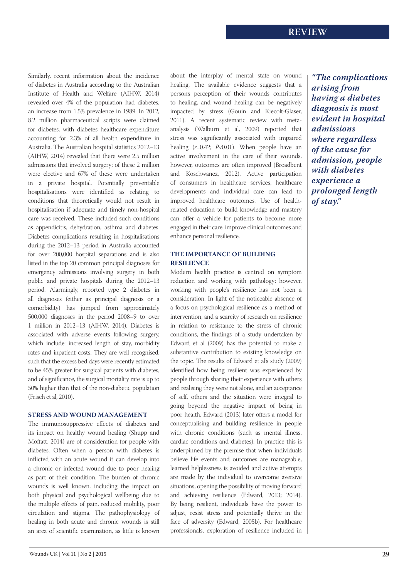Similarly, recent information about the incidence of diabetes in Australia according to the Australian Institute of Health and Welfare (AIHW, 2014) revealed over 4% of the population had diabetes, an increase from 1.5% prevalence in 1989. In 2012, 8.2 million pharmaceutical scripts were claimed for diabetes, with diabetes healthcare expenditure accounting for 2.3% of all health expenditure in Australia. The Australian hospital statistics 2012–13 (AIHW, 2014) revealed that there were 2.5 million admissions that involved surgery; of these 2 million were elective and 67% of these were undertaken in a private hospital. Potentially preventable hospitalisations were identified as relating to conditions that theoretically would not result in hospitalisation if adequate and timely non-hospital care was received. These included such conditions as appendicitis, dehydration, asthma and diabetes. Diabetes complications resulting in hospitalisations during the 2012–13 period in Australia accounted for over 200,000 hospital separations and is also listed in the top 20 common principal diagnoses for emergency admissions involving surgery in both public and private hospitals during the 2012–13 period. Alarmingly, reported type 2 diabetes in all diagnoses (either as principal diagnosis or a comorbidity) has jumped from approximately 500,000 diagnoses in the period 2008–9 to over 1 million in 2012–13 (AIHW, 2014). Diabetes is associated with adverse events following surgery, which include: increased length of stay, morbidity rates and inpatient costs. They are well recognised, such that the excess bed days were recently estimated to be 45% greater for surgical patients with diabetes, and of significance, the surgical mortality rate is up to 50% higher than that of the non-diabetic population (Frisch et al, 2010).

## **STRESS AND WOUND MANAGEMENT**

The immunosuppressive effects of diabetes and its impact on healthy wound healing (Shupp and Moffatt, 2014) are of consideration for people with diabetes. Often when a person with diabetes is inflicted with an acute wound it can develop into a chronic or infected wound due to poor healing as part of their condition. The burden of chronic wounds is well known, including the impact on both physical and psychological wellbeing due to the multiple effects of pain, reduced mobility, poor circulation and stigma. The pathophysiology of healing in both acute and chronic wounds is still an area of scientific examination, as little is known

about the interplay of mental state on wound healing. The available evidence suggests that a person's perception of their wounds contributes to healing, and wound healing can be negatively impacted by stress (Gouin and Kiecolt-Glaser, 2011). A recent systematic review with metaanalysis (Walburn et al, 2009) reported that stress was significantly associated with impaired healing (*r*=0.42; *P*<0.01). When people have an active involvement in the care of their wounds, however, outcomes are often improved (Broadbent and Koschwanez, 2012). Active participation of consumers in healthcare services, healthcare developments and individual care can lead to improved healthcare outcomes. Use of healthrelated education to build knowledge and mastery can offer a vehicle for patients to become more engaged in their care, improve clinical outcomes and enhance personal resilience.

# **THE IMPORTANCE OF BUILDING RESILIENCE**

Modern health practice is centred on symptom reduction and working with pathology; however, working with people's resilience has not been a consideration. In light of the noticeable absence of a focus on psychological resilience as a method of intervention, and a scarcity of research on resilience in relation to resistance to the stress of chronic conditions, the findings of a study undertaken by Edward et al (2009) has the potential to make a substantive contribution to existing knowledge on the topic. The results of Edward et al's study (2009) identified how being resilient was experienced by people through sharing their experience with others and realising they were not alone, and an acceptance of self, others and the situation were integral to going beyond the negative impact of being in poor health. Edward (2013) later offers a model for conceptualising and building resilience in people with chronic conditions (such as mental illness, cardiac conditions and diabetes). In practice this is underpinned by the premise that when individuals believe life events and outcomes are manageable, learned helplessness is avoided and active attempts are made by the individual to overcome aversive situations, opening the possibility of moving forward and achieving resilience (Edward, 2013; 2014). By being resilient, individuals have the power to adjust, resist stress and potentially thrive in the face of adversity (Edward, 2005b). For healthcare professionals, exploration of resilience included in

*"The complications arising from having a diabetes diagnosis is most evident in hospital admissions where regardless of the cause for admission, people with diabetes experience a prolonged length of stay."*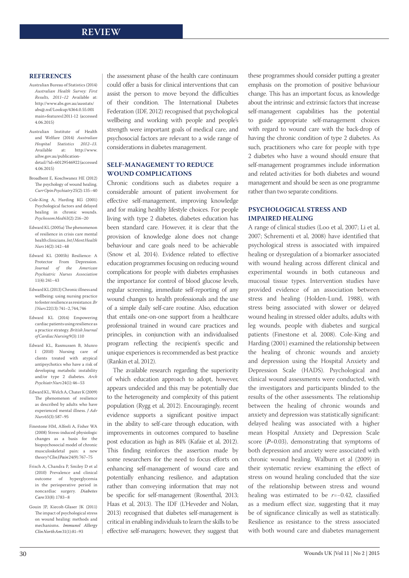#### **REFERENCES**

- Australian Bureau of Statistics (2014) *Australian Health Survey: First Results, 2011–12* Available at: http://www.abs.gov.au/ausstats/ abs@.nsf/Lookup/4364.0.55.001 main+features12011-12 (accessed 4.06.2015)
- Australian Institute of Health and Welfare (2014) *Australian Hospital Statistics 2012–13.* Available at: http://www. aihw.gov.au/publicationdetail/?id=60129546922 (accessed 4.06.2015)
- Broadbent E, Koschwanez HE (2012) The psychology of wound healing. *Curr Opin Psychiatry* 25(2): 135–40
- Cole-King A, Harding KG (2001) Psychological factors and delayed healing in chronic wounds. *Psychosom Med* 63(2): 216–20
- Edward KL (2005a) The phenomenon of resilience in crisis care mental health clinicians. *Int J Ment Health Nurs* 14(2): 142–48
- Edward KL (2005b) Resilience: A Protector From Depression. *Journal of the American Psychiatric Nurses Association* 11(4): 241–43
- Edward KL (2013) Chronic illness and wellbeing: using nursing practice to foster resilience as resistance. *Br J Nurs* 22(13): 741–2, 744, 746
- Edward KL (2014) Empowering cardiac patients using resilience as a practice strategy. *British Journal of Cardiac Nursing* 9(3): 110
- Edward KL, Rasmussen B, Munro I (2010) Nursing care of clients treated with atypical antipsychotics who have a risk of developing metabolic instability and/or type 2 diabetes. *Arch Psychiatr Nurs* 24(1): 46–53
- Edward KL, Welch A, Chater K (2009) The phenomenon of resilience as described by adults who have experienced mental illness. *J Adv Nurs* 65(3): 587–95
- Finestone HM, Alfeeli A, Fisher WA (2008) Stress-induced physiologic changes as a basis for the biopsychosocial model of chronic musculoskeletal pain: a new theory? *Clin J Pain* 24(9): 767–75
- Frisch A, Chandra P, Smiley D et al (2010) Prevalence and clinical outcome of hyperglycemia in the perioperative period in noncardiac surgery. *Diabetes Care* 33(8): 1783–8
- Gouin JP, Kiecolt-Glaser JK (2011) The impact of psychological stress on wound healing: methods and mechanisms. *Immunol Allergy Clin North Am* 31(1):81–93

the assessment phase of the health care continuum could offer a basis for clinical interventions that can assist the person to move beyond the difficulties of their condition. The International Diabetes Federation (IDF, 2012) recognised that psychological wellbeing and working with people and people's strength were important goals of medical care, and psychosocial factors are relevant to a wide range of considerations in diabetes management.

### **SELF-MANAGEMENT TO REDUCE WOUND COMPLICATIONS**

Chronic conditions such as diabetes require a considerable amount of patient involvement for effective self-management, improving knowledge and for making healthy lifestyle choices. For people living with type 2 diabetes, diabetes education has been standard care. However, it is clear that the provision of knowledge alone does not change behaviour and care goals need to be achievable (Snow et al, 2014). Evidence related to effective education programmes focusing on reducing wound complications for people with diabetes emphasises the importance for control of blood glucose levels, regular screening, immediate self-reporting of any wound changes to health professionals and the use of a simple daily self-care routine. Also, education that entails one-on-one support from a healthcare professional trained in wound care practices and principles, in conjunction with an individualised program reflecting the recipient's specific and unique experiences is recommended as best practice (Rankin et al, 2012).

The available research regarding the superiority of which education approach to adopt, however, appears undecided and this may be potentially due to the heterogeneity and complexity of this patient population (Rygg et al, 2012). Encouragingly, recent evidence supports a significant positive impact in the ability to self-care through education, with improvements in outcomes compared to baseline post education as high as 84% (Kafaie et al, 2012). This finding reinforces the assertion made by some researchers for the need to focus efforts on enhancing self-management of wound care and potentially enhancing resilience, and adaptation rather than conveying information that may not be specific for self-management (Rosenthal, 2013; Haas et al, 2013). The IDF (L'Heveder and Nolan, 2013) recognised that diabetes self-management is critical in enabling individuals to learn the skills to be effective self-managers; however, they suggest that these programmes should consider putting a greater emphasis on the promotion of positive behaviour change. This has an important focus, as knowledge about the intrinsic and extrinsic factors that increase self-management capabilities has the potential to guide appropriate self-management choices with regard to wound care with the back-drop of having the chronic condition of type 2 diabetes. As such, practitioners who care for people with type 2 diabetes who have a wound should ensure that self-management programmes include information and related activities for both diabetes and wound management and should be seen as one programme rather than two separate conditions.

# **PSYCHOLOGICAL STRESS AND IMPAIRED HEALING**

A range of clinical studies (Loo et al, 2007; Li et al, 2007; Schrementi et al, 2008) have identified that psychological stress is associated with impaired healing or dysregulation of a biomarker associated with wound healing across different clinical and experimental wounds in both cutaneous and mucosal tissue types. Intervention studies have provided evidence of an association between stress and healing (Holden-Lund, 1988), with stress being associated with slower or delayed wound healing in stressed older adults, adults with leg wounds, people with diabetes and surgical patients (Finestone et al, 2008). Cole-King and Harding (2001) examined the relationship between the healing of chronic wounds and anxiety and depression using the Hospital Anxiety and Depression Scale (HADS). Psychological and clinical wound assessments were conducted, with the investigators and participants blinded to the results of the other assessments. The relationship between the healing of chronic wounds and anxiety and depression was statistically significant: delayed healing was associated with a higher mean Hospital Anxiety and Depression Scale score (*P*=0.03), demonstrating that symptoms of both depression and anxiety were associated with chronic wound healing. Walburn et al (2009) in their systematic review examining the effect of stress on wound healing concluded that the size of the relationship between stress and wound healing was estimated to be *r*=−0.42, classified as a medium effect size, suggesting that it may be of significance clinically as well as statistically. Resilience as resistance to the stress associated with both wound care and diabetes management